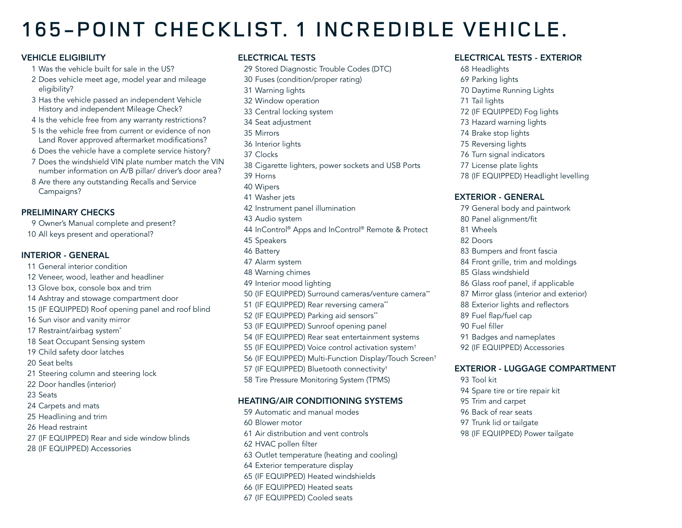# 165-POINT CHECKLIST. 1 INCREDIBLE VEHICLE.

# Vehicle Eligibility

- 1 Was the vehicle built for sale in the US?
- 2 Does vehicle meet age, model year and mileage eligibility?
- 3 Has the vehicle passed an independent Vehicle History and independent Mileage Check?
- 4 Is the vehicle free from any warranty restrictions?
- 5 Is the vehicle free from current or evidence of non Land Rover approved aftermarket modifications?
- 6 Does the vehicle have a complete service history?
- 7 Does the windshield VIN plate number match the VIN number information on A/B pillar/ driver's door area?
- 8 Are there any outstanding Recalls and Service Campaigns?

## Preliminary Checks

- 9 Owner's Manual complete and present?
- 10 All keys present and operational?

# Interior - General

11 General interior condition 12 Veneer, wood, leather and headliner 13 Glove box, console box and trim 14 Ashtray and stowage compartment door 15 (IF EQUIPPED) Roof opening panel and roof blind 16 Sun visor and vanity mirror 17 Restraint/airbag system\* 18 Seat Occupant Sensing system 19 Child safety door latches 20 Seat belts 21 Steering column and steering lock 22 Door handles (interior) 23 Seats 24 Carpets and mats 25 Headlining and trim 26 Head restraint 27 (IF EQUIPPED) Rear and side window blinds

28 (IF EQUIPPED) Accessories

# Electrical Tests

29 Stored Diagnostic Trouble Codes (DTC) 30 Fuses (condition/proper rating) 31 Warning lights 32 Window operation 33 Central locking system 34 Seat adjustment 35 Mirrors 36 Interior lights 37 Clocks 38 Cigarette lighters, power sockets and USB Ports 39 Horns 40 Wipers 41 Washer jets 42 Instrument panel illumination 43 Audio system 44 InControl® Apps and InControl® Remote & Protect 45 Speakers 46 Battery 47 Alarm system 48 Warning chimes 49 Interior mood lighting 50 (IF EQUIPPED) Surround cameras/venture camera\*\* 51 (IF EQUIPPED) Rear reversing camera\*\* 52 (IF EQUIPPED) Parking aid sensors\*\* 53 (IF EQUIPPED) Sunroof opening panel 54 (IF EQUIPPED) Rear seat entertainment systems 55 (IF EQUIPPED) Voice control activation system† 56 (IF EQUIPPED) Multi-Function Display/Touch Screen† 57 (IF EQUIPPED) Bluetooth connectivity† 58 Tire Pressure Monitoring System (TPMS)

# Heating/Air Conditioning Systems

59 Automatic and manual modes 60 Blower motor 61 Air distribution and vent controls 62 HVAC pollen filter 63 Outlet temperature (heating and cooling) 64 Exterior temperature display 65 (IF EQUIPPED) Heated windshields 66 (IF EQUIPPED) Heated seats 67 (IF EQUIPPED) Cooled seats

## Electrical Tests - Exterior

68 Headlights 69 Parking lights 70 Daytime Running Lights 71 Tail lights 72 (IF EQUIPPED) Fog lights 73 Hazard warning lights 74 Brake stop lights 75 Reversing lights 76 Turn signal indicators 77 License plate lights 78 (IF EQUIPPED) Headlight levelling

# Exterior - General

79 General body and paintwork 80 Panel alignment/fit 81 Wheels 82 Doors 83 Bumpers and front fascia 84 Front grille, trim and moldings 85 Glass windshield 86 Glass roof panel, if applicable 87 Mirror glass (interior and exterior) 88 Exterior lights and reflectors 89 Fuel flap/fuel cap 90 Fuel filler 91 Badges and nameplates 92 (IF EQUIPPED) Accessories

## Exterior - Luggage Compartment

93 Tool kit 94 Spare tire or tire repair kit 95 Trim and carpet 96 Back of rear seats 97 Trunk lid or tailgate 98 (IF EQUIPPED) Power tailgate